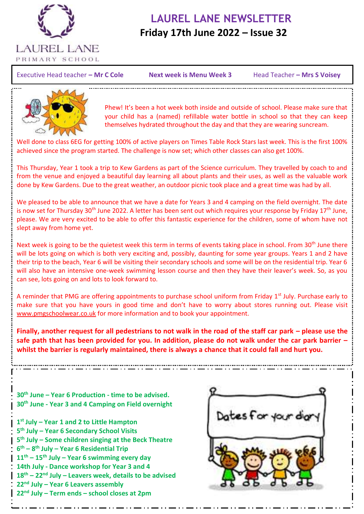

## **LAUREL LANE NEWSLETTER Friday 17th June 2022 – Issue 32**

Executive Head teacher – Mr C Cole **Next week is Menu Week 3** Head Teacher – Mrs S Voisey

İ

Next week is Menu Week 3 Head Teacher - Mrs S Voisey



Phew! It's been a hot week both inside and outside of school. Please make sure that your child has a (named) refillable water bottle in school so that they can keep themselves hydrated throughout the day and that they are wearing suncream.

Well done to class 6EG for getting 100% of active players on Times Table Rock Stars last week. This is the first 100% achieved since the program started. The challenge is now set; which other classes can also get 100%.

This Thursday, Year 1 took a trip to Kew Gardens as part of the Science curriculum. They travelled by coach to and from the venue and enjoyed a beautiful day learning all about plants and their uses, as well as the valuable work done by Kew Gardens. Due to the great weather, an outdoor picnic took place and a great time was had by all.

We pleased to be able to announce that we have a date for Years 3 and 4 camping on the field overnight. The date is now set for Thursday 30<sup>th</sup> June 2022. A letter has been sent out which requires your response by Friday 17<sup>th</sup> June, please. We are very excited to be able to offer this fantastic experience for the children, some of whom have not slept away from home yet.

Next week is going to be the quietest week this term in terms of events taking place in school. From 30<sup>th</sup> June there will be lots going on which is both very exciting and, possibly, daunting for some year groups. Years 1 and 2 have their trip to the beach, Year 6 will be visiting their secondary schools and some will be on the residential trip. Year 6 will also have an intensive one-week swimming lesson course and then they have their leaver's week. So, as you can see, lots going on and lots to look forward to.

A reminder that PMG are offering appointments to purchase school uniform from Friday 1<sup>st</sup> July. Purchase early to make sure that you have yours in good time and don't have to worry about stores running out. Please visit [www.pmgschoolwear.co.uk](http://www.pmgschoolwear.co.uk/) for more information and to book your appointment.

**Finally, another request for all pedestrians to not walk in the road of the staff car park – please use the safe path that has been provided for you. In addition, please do not walk under the car park barrier – whilst the barrier is regularly maintained, there is always a chance that it could fall and hurt you.**

**30th June – Year 6 Production - time to be advised. 30th June - Year 3 and 4 Camping on Field overnight**

 **st July – Year 1 and 2 to Little Hampton th July – Year 6 Secondary School Visits th July – Some children singing at the Beck Theatre th – 8 th July – Year 6 Residential Trip th – 15th July – Year 6 swimming every day 14th July - Dance workshop for Year 3 and 4 th – 22nd July – Leavers week, details to be advised nd July – Year 6 Leavers assembly nd July – Term ends – school closes at 2pm**

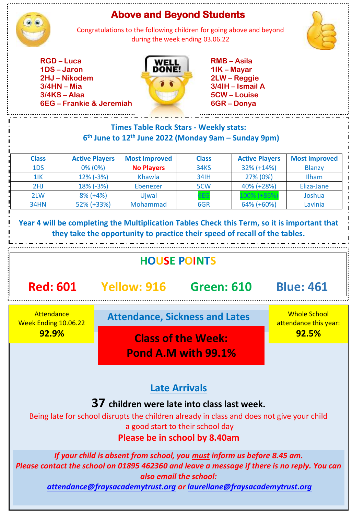